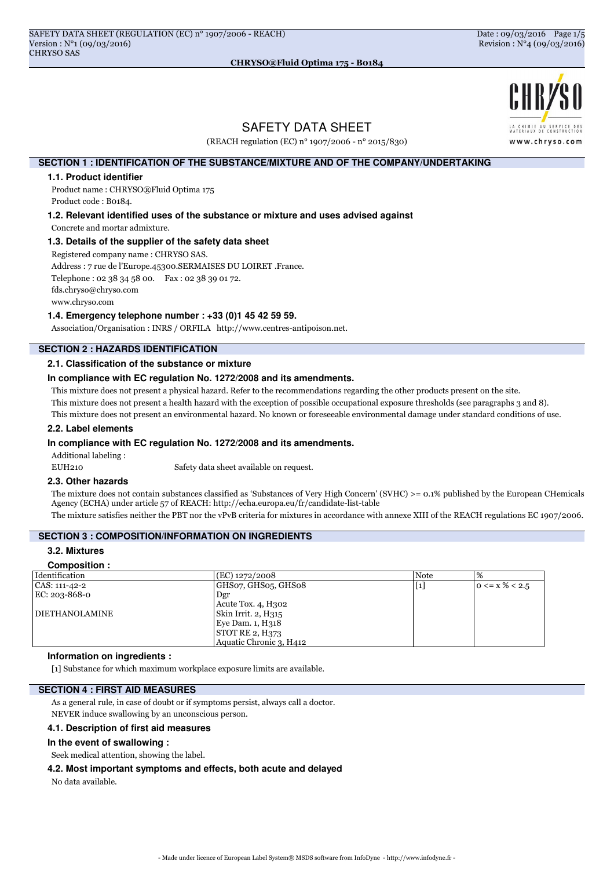

# SAFETY DATA SHEET

(REACH regulation (EC) n° 1907/2006 - n° 2015/830)

# **SECTION 1 : IDENTIFICATION OF THE SUBSTANCE/MIXTURE AND OF THE COMPANY/UNDERTAKING**

#### **1.1. Product identifier**

Product name : CHRYSO®Fluid Optima 175 Product code : B0184.

**1.2. Relevant identified uses of the substance or mixture and uses advised against**

Concrete and mortar admixture.

#### **1.3. Details of the supplier of the safety data sheet**

Registered company name : CHRYSO SAS.

Address : 7 rue de l'Europe.45300.SERMAISES DU LOIRET .France.

Telephone : 02 38 34 58 00. Fax : 02 38 39 01 72.

fds.chryso@chryso.com

www.chryso.com

#### **1.4. Emergency telephone number : +33 (0)1 45 42 59 59.**

Association/Organisation : INRS / ORFILA http://www.centres-antipoison.net.

# **SECTION 2 : HAZARDS IDENTIFICATION**

#### **2.1. Classification of the substance or mixture**

## **In compliance with EC regulation No. 1272/2008 and its amendments.**

This mixture does not present a physical hazard. Refer to the recommendations regarding the other products present on the site.

This mixture does not present a health hazard with the exception of possible occupational exposure thresholds (see paragraphs 3 and 8).

This mixture does not present an environmental hazard. No known or foreseeable environmental damage under standard conditions of use.

#### **2.2. Label elements**

#### **In compliance with EC regulation No. 1272/2008 and its amendments.**

Additional labeling :

EUH210 Safety data sheet available on request.

#### **2.3. Other hazards**

The mixture does not contain substances classified as 'Substances of Very High Concern' (SVHC) >= 0.1% published by the European CHemicals Agency (ECHA) under article 57 of REACH: http://echa.europa.eu/fr/candidate-list-table

The mixture satisfies neither the PBT nor the vPvB criteria for mixtures in accordance with annexe XIII of the REACH regulations EC 1907/2006.

# **SECTION 3 : COMPOSITION/INFORMATION ON INGREDIENTS**

## **3.2. Mixtures**

#### **Composition :**

| Identification        | $(EC)$ 1272/2008        | <b>Note</b>         | $\%$                     |
|-----------------------|-------------------------|---------------------|--------------------------|
| CAS: 111-42-2         | GHS07, GHS05, GHS08     | $\lfloor 1 \rfloor$ | $ 0 \le x \, \% \le 2.5$ |
| EC: $203 - 868 - 0$   | Dgr                     |                     |                          |
|                       | Acute Tox. 4, H302      |                     |                          |
| <b>DIETHANOLAMINE</b> | Skin Irrit. 2, H315     |                     |                          |
|                       | Eye Dam. 1, H318        |                     |                          |
|                       | STOT RE 2, H373         |                     |                          |
|                       | Aquatic Chronic 3, H412 |                     |                          |

## **Information on ingredients :**

[1] Substance for which maximum workplace exposure limits are available.

#### **SECTION 4 : FIRST AID MEASURES**

As a general rule, in case of doubt or if symptoms persist, always call a doctor.

NEVER induce swallowing by an unconscious person.

#### **4.1. Description of first aid measures**

#### **In the event of swallowing :**

Seek medical attention, showing the label.

#### **4.2. Most important symptoms and effects, both acute and delayed**

No data available.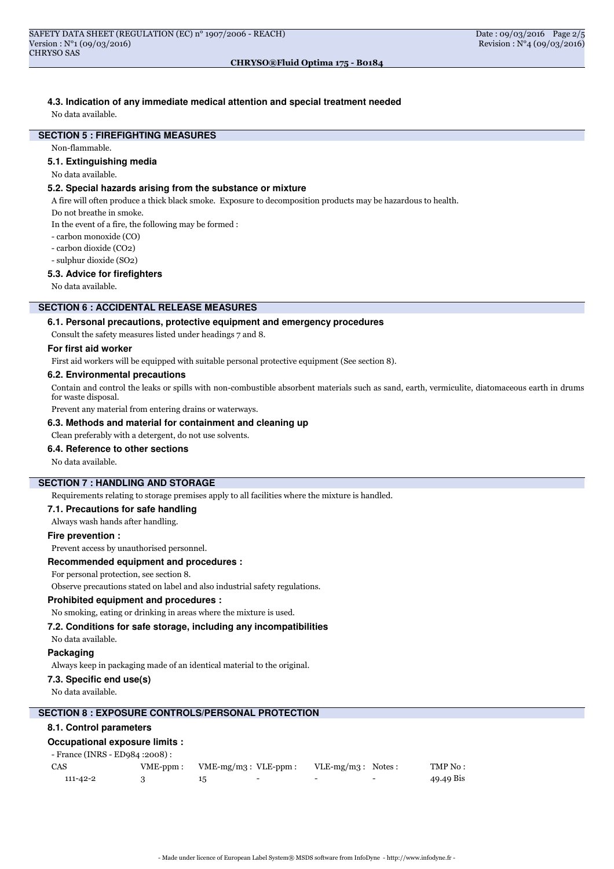# **4.3. Indication of any immediate medical attention and special treatment needed**

No data available.

# **SECTION 5 : FIREFIGHTING MEASURES**

Non-flammable.

#### **5.1. Extinguishing media**

No data available.

# **5.2. Special hazards arising from the substance or mixture**

A fire will often produce a thick black smoke. Exposure to decomposition products may be hazardous to health.

Do not breathe in smoke.

In the event of a fire, the following may be formed :

- carbon monoxide (CO)
- carbon dioxide (CO2)
- sulphur dioxide (SO2)

#### **5.3. Advice for firefighters**

No data available.

# **SECTION 6 : ACCIDENTAL RELEASE MEASURES**

## **6.1. Personal precautions, protective equipment and emergency procedures**

Consult the safety measures listed under headings 7 and 8.

#### **For first aid worker**

First aid workers will be equipped with suitable personal protective equipment (See section 8).

#### **6.2. Environmental precautions**

Contain and control the leaks or spills with non-combustible absorbent materials such as sand, earth, vermiculite, diatomaceous earth in drums for waste disposal.

Prevent any material from entering drains or waterways.

## **6.3. Methods and material for containment and cleaning up**

Clean preferably with a detergent, do not use solvents.

#### **6.4. Reference to other sections**

No data available.

# **SECTION 7 : HANDLING AND STORAGE**

Requirements relating to storage premises apply to all facilities where the mixture is handled.

#### **7.1. Precautions for safe handling**

Always wash hands after handling.

# **Fire prevention :**

Prevent access by unauthorised personnel.

# **Recommended equipment and procedures :**

For personal protection, see section 8.

Observe precautions stated on label and also industrial safety regulations.

#### **Prohibited equipment and procedures :**

No smoking, eating or drinking in areas where the mixture is used.

# **7.2. Conditions for safe storage, including any incompatibilities**

No data available.

# **Packaging**

Always keep in packaging made of an identical material to the original.

#### **7.3. Specific end use(s)**

No data available.

### **SECTION 8 : EXPOSURE CONTROLS/PERSONAL PROTECTION**

#### **8.1. Control parameters**

# **Occupational exposure limits :**

| - France (INRS - ED984 : 2008) : |                 |                       |                          |                          |                          |           |
|----------------------------------|-----------------|-----------------------|--------------------------|--------------------------|--------------------------|-----------|
| CAS                              | $VME$ - $ppm$ : | $VME-mg/m3: VLE-ppm:$ |                          | $VLE-mg/m3$ : Notes:     |                          | TMP No :  |
| 111-42-2                         |                 |                       | $\overline{\phantom{0}}$ | $\overline{\phantom{0}}$ | $\overline{\phantom{0}}$ | 49.49 Bis |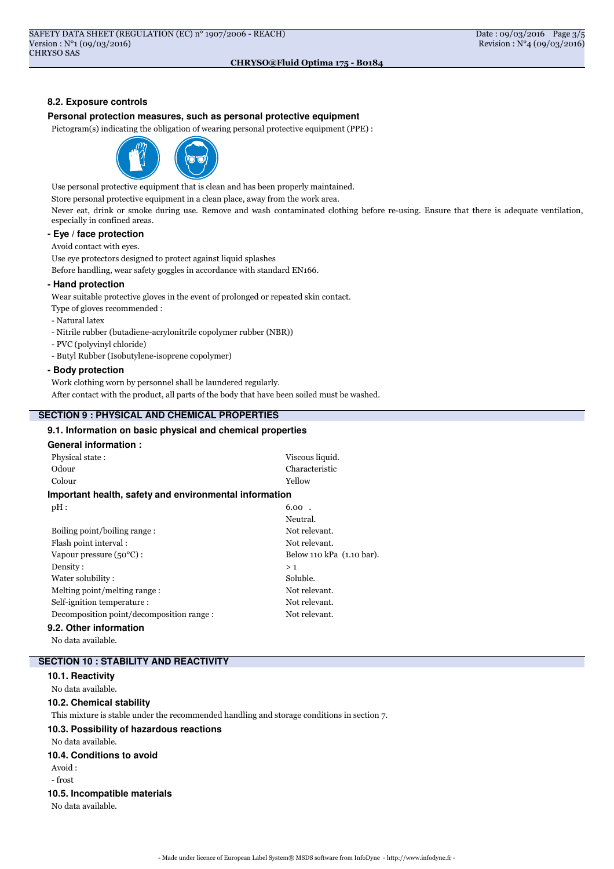# **8.2. Exposure controls**

## **Personal protection measures, such as personal protective equipment**

Pictogram(s) indicating the obligation of wearing personal protective equipment (PPE) :



Use personal protective equipment that is clean and has been properly maintained.

Store personal protective equipment in a clean place, away from the work area.

Never eat, drink or smoke during use. Remove and wash contaminated clothing before re-using. Ensure that there is adequate ventilation, especially in confined areas.

# **- Eye / face protection**

Avoid contact with eyes.

Use eye protectors designed to protect against liquid splashes

Before handling, wear safety goggles in accordance with standard EN166.

#### **- Hand protection**

Wear suitable protective gloves in the event of prolonged or repeated skin contact.

Type of gloves recommended :

- Natural latex
- Nitrile rubber (butadiene-acrylonitrile copolymer rubber (NBR))
- PVC (polyvinyl chloride)
- Butyl Rubber (Isobutylene-isoprene copolymer)

#### **- Body protection**

Work clothing worn by personnel shall be laundered regularly.

After contact with the product, all parts of the body that have been soiled must be washed.

# **SECTION 9 : PHYSICAL AND CHEMICAL PROPERTIES**

#### **9.1. Information on basic physical and chemical properties**

# **General information :**

| Physical state:                                        | Viscous liquid.           |
|--------------------------------------------------------|---------------------------|
| Odour                                                  | Characteristic            |
| Yellow<br>Colour                                       |                           |
| Important health, safety and environmental information |                           |
| pH:                                                    | $6.00$ .                  |
|                                                        | Neutral.                  |
| Boiling point/boiling range:                           | Not relevant.             |
| Flash point interval:                                  | Not relevant.             |
| Vapour pressure $(50^{\circ}C)$ :                      | Below 110 kPa (1.10 bar). |
| Density:                                               | >1                        |
| Water solubility:                                      | Soluble.                  |
| Melting point/melting range:                           | Not relevant.             |
| Self-ignition temperature:                             | Not relevant.             |
| Decomposition point/decomposition range:               | Not relevant.             |
| ዓ 2  Other information                                 |                           |

#### **9.2. Other information**

No data available.

# **SECTION 10 : STABILITY AND REACTIVITY**

#### **10.1. Reactivity**

No data available.

#### **10.2. Chemical stability**

This mixture is stable under the recommended handling and storage conditions in section 7.

# **10.3. Possibility of hazardous reactions**

No data available.

# **10.4. Conditions to avoid**

Avoid :

# - frost

## **10.5. Incompatible materials**

No data available.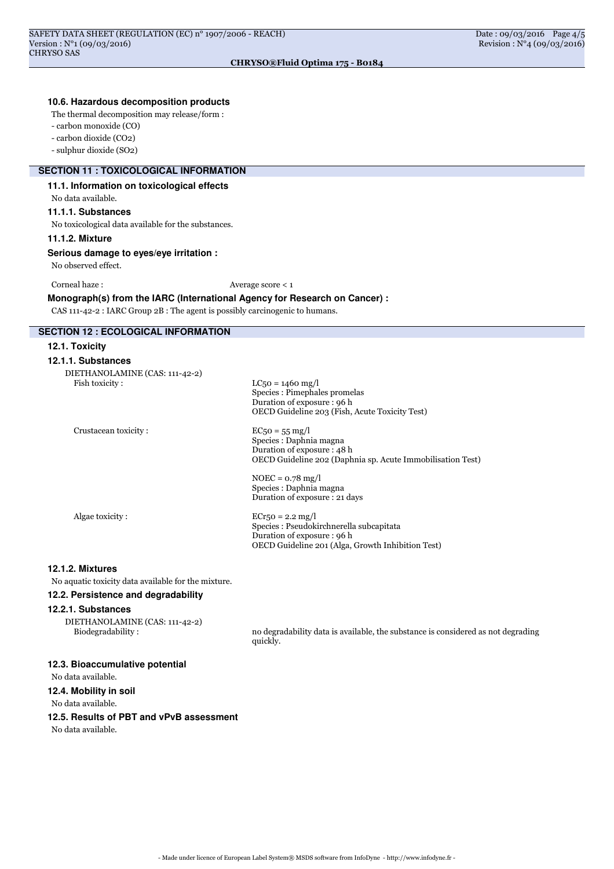## **10.6. Hazardous decomposition products**

The thermal decomposition may release/form :

- carbon monoxide (CO)

- carbon dioxide (CO2)

- sulphur dioxide (SO2)

# **SECTION 11 : TOXICOLOGICAL INFORMATION**

# **11.1. Information on toxicological effects**

No data available.

## **11.1.1. Substances**

No toxicological data available for the substances.

## **11.1.2. Mixture**

**Serious damage to eyes/eye irritation :**

No observed effect.

Corneal haze : Average score < 1

**Monograph(s) from the IARC (International Agency for Research on Cancer) :**

CAS 111-42-2 : IARC Group 2B : The agent is possibly carcinogenic to humans.

# **SECTION 12 : ECOLOGICAL INFORMATION**

#### **12.1. Toxicity**

| 12.1.1. Substances                               |                                                                                                                                         |
|--------------------------------------------------|-----------------------------------------------------------------------------------------------------------------------------------------|
| DIETHANOLAMINE (CAS: 111-42-2)<br>Fish toxicity: | $LC_{50} = 1460$ mg/l<br>Species : Pimephales promelas<br>Duration of exposure : 96 h<br>OECD Guideline 203 (Fish, Acute Toxicity Test) |
| Crustacean toxicity:                             | $EC50 = 55 mg/l$<br>Species : Daphnia magna<br>Duration of exposure: 48 h<br>OECD Guideline 202 (Daphnia sp. Acute Immobilisation Test) |
|                                                  | $NOEC = 0.78$ mg/l<br>Species : Daphnia magna<br>Duration of exposure: 21 days                                                          |
| Algae toxicity:                                  | $ECr50 = 2.2$ mg/l<br>Species : Pseudokirchnerella subcapitata<br>Duration of exposure : 96 h                                           |

#### **12.1.2. Mixtures**

No aquatic toxicity data available for the mixture.

# **12.2. Persistence and degradability**

#### **12.2.1. Substances**

DIETHANOLAMINE (CAS: 111-42-2)

Biodegradability : no degradability data is available, the substance is considered as not degrading quickly.

OECD Guideline 201 (Alga, Growth Inhibition Test)

#### **12.3. Bioaccumulative potential**

No data available.

**12.4. Mobility in soil**

No data available.

# **12.5. Results of PBT and vPvB assessment**

No data available.